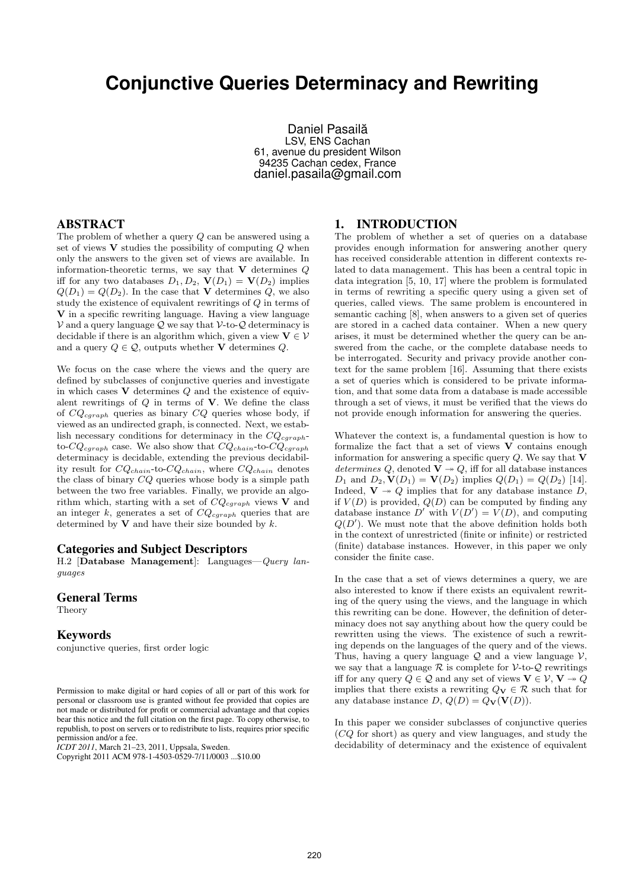# **Conjunctive Queries Determinacy and Rewriting**

Daniel Pasailă LSV, ENS Cachan 61, avenue du president Wilson 94235 Cachan cedex, France daniel.pasaila@gmail.com

### ABSTRACT

The problem of whether a query Q can be answered using a set of views  $V$  studies the possibility of computing  $Q$  when only the answers to the given set of views are available. In information-theoretic terms, we say that  $V$  determines  $Q$ iff for any two databases  $D_1, D_2, V(D_1) = V(D_2)$  implies  $Q(D_1) = Q(D_2)$ . In the case that **V** determines Q, we also study the existence of equivalent rewritings of Q in terms of V in a specific rewriting language. Having a view language  $V$  and a query language  $Q$  we say that  $V$ -to- $Q$  determinacy is decidable if there is an algorithm which, given a view  $V \in V$ and a query  $Q \in \mathcal{Q}$ , outputs whether **V** determines  $Q$ .

We focus on the case where the views and the query are defined by subclasses of conjunctive queries and investigate in which cases  $V$  determines  $Q$  and the existence of equivalent rewritings of  $Q$  in terms of  $V$ . We define the class of  $CQ_{cgraph}$  queries as binary  $CQ$  queries whose body, if viewed as an undirected graph, is connected. Next, we establish necessary conditions for determinacy in the  $CQ_{cgraph}$ to- $CQ_{cgraph}$  case. We also show that  $CQ_{chain}$ -to- $CQ_{cgraph}$ determinacy is decidable, extending the previous decidability result for  $CQ_{chain}$ -to- $CQ_{chain}$ , where  $CQ_{chain}$  denotes the class of binary CQ queries whose body is a simple path between the two free variables. Finally, we provide an algorithm which, starting with a set of  $CQ_{cgraph}$  views V and an integer k, generates a set of  $CQ_{cgraph}$  queries that are determined by  $V$  and have their size bounded by  $k$ .

#### Categories and Subject Descriptors

H.2 [Database Management]: Languages—Query languages

#### General Terms

Theory

#### Keywords

conjunctive queries, first order logic

*ICDT 2011*, March 21–23, 2011, Uppsala, Sweden.

#### 1. INTRODUCTION

The problem of whether a set of queries on a database provides enough information for answering another query has received considerable attention in different contexts related to data management. This has been a central topic in data integration [5, 10, 17] where the problem is formulated in terms of rewriting a specific query using a given set of queries, called views. The same problem is encountered in semantic caching [8], when answers to a given set of queries are stored in a cached data container. When a new query arises, it must be determined whether the query can be answered from the cache, or the complete database needs to be interrogated. Security and privacy provide another context for the same problem [16]. Assuming that there exists a set of queries which is considered to be private information, and that some data from a database is made accessible through a set of views, it must be verified that the views do not provide enough information for answering the queries.

Whatever the context is, a fundamental question is how to formalize the fact that a set of views  $V$  contains enough information for answering a specific query  $Q$ . We say that  $V$ determines Q, denoted  $\overline{V} \rightarrow Q$ , iff for all database instances  $D_1$  and  $D_2$ ,  $\mathbf{V}(D_1) = \mathbf{V}(D_2)$  implies  $Q(D_1) = Q(D_2)$  [14]. Indeed,  $V \rightarrow Q$  implies that for any database instance D, if  $V(D)$  is provided,  $Q(D)$  can be computed by finding any database instance D' with  $V(D') = V(D)$ , and computing  $Q(D')$ . We must note that the above definition holds both in the context of unrestricted (finite or infinite) or restricted (finite) database instances. However, in this paper we only consider the finite case.

In the case that a set of views determines a query, we are also interested to know if there exists an equivalent rewriting of the query using the views, and the language in which this rewriting can be done. However, the definition of determinacy does not say anything about how the query could be rewritten using the views. The existence of such a rewriting depends on the languages of the query and of the views. Thus, having a query language  $Q$  and a view language  $V$ , we say that a language  $R$  is complete for  $V$ -to- $Q$  rewritings iff for any query  $Q \in \mathcal{Q}$  and any set of views  $\mathbf{V} \in \mathcal{V}$ ,  $\mathbf{V} \rightarrow Q$ implies that there exists a rewriting  $Q_V \in \mathcal{R}$  such that for any database instance D,  $Q(D) = Q_V(V(D))$ .

In this paper we consider subclasses of conjunctive queries (CQ for short) as query and view languages, and study the decidability of determinacy and the existence of equivalent

Permission to make digital or hard copies of all or part of this work for personal or classroom use is granted without fee provided that copies are not made or distributed for profit or commercial advantage and that copies bear this notice and the full citation on the first page. To copy otherwise, to republish, to post on servers or to redistribute to lists, requires prior specific permission and/or a fee.

Copyright 2011 ACM 978-1-4503-0529-7/11/0003 ...\$10.00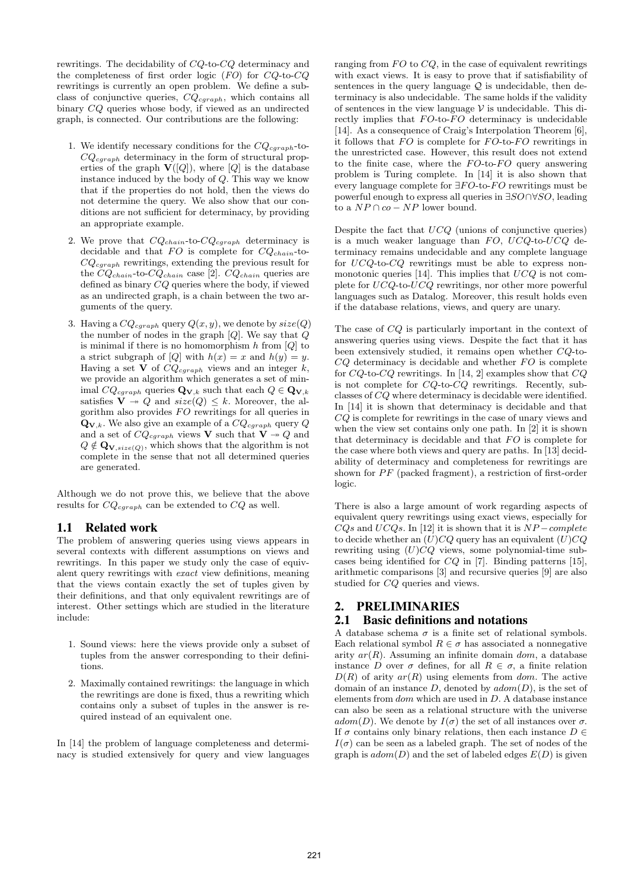rewritings. The decidability of CQ-to-CQ determinacy and the completeness of first order logic  $(FO)$  for  $CQ$ -to- $CQ$ rewritings is currently an open problem. We define a subclass of conjunctive queries,  $CQ_{cgraph}$ , which contains all binary CQ queries whose body, if viewed as an undirected graph, is connected. Our contributions are the following:

- 1. We identify necessary conditions for the  $CQ_{cgraph}$ -to- $CQ_{cgraph}$  determinacy in the form of structural properties of the graph  $\mathbf{V}([Q])$ , where  $[Q]$  is the database instance induced by the body of Q. This way we know that if the properties do not hold, then the views do not determine the query. We also show that our conditions are not sufficient for determinacy, by providing an appropriate example.
- 2. We prove that  $CQ_{chain}$ -to- $CQ_{cgraph}$  determinacy is decidable and that  $FO$  is complete for  $CQ_{chain}$ -to- $CQ_{cgraph}$  rewritings, extending the previous result for the  $CQ_{chain}$ -to- $CQ_{chain}$  case [2].  $CQ_{chain}$  queries are defined as binary CQ queries where the body, if viewed as an undirected graph, is a chain between the two arguments of the query.
- 3. Having a  $CQ_{cgraph}$  query  $Q(x, y)$ , we denote by  $size(Q)$ the number of nodes in the graph  $[Q]$ . We say that  $Q$ is minimal if there is no homomorphism h from  $[Q]$  to a strict subgraph of [Q] with  $h(x) = x$  and  $h(y) = y$ . Having a set  $\overline{V}$  of  $CQ_{cgraph}$  views and an integer k, we provide an algorithm which generates a set of minimal  $CQ_{cgraph}$  queries  $\mathbf{Q}_{\mathbf{V},k}$  such that each  $Q \in \mathbf{Q}_{\mathbf{V},k}$ satisfies  $\mathbf{V} \rightarrow Q$  and  $size(Q) \leq k$ . Moreover, the algorithm also provides  $FO$  rewritings for all queries in  $\mathbf{Q}_{\mathbf{V},k}$ . We also give an example of a  $CQ_{cgraph}$  query  $Q$ and a set of  $CQ_{cgraph}$  views V such that  $V \rightarrow Q$  and  $Q \notin \mathbf{Q}_{\mathbf{V},size(Q)}$ , which shows that the algorithm is not complete in the sense that not all determined queries are generated.

Although we do not prove this, we believe that the above results for  $CQ_{caraph}$  can be extended to  $CQ$  as well.

## 1.1 Related work

The problem of answering queries using views appears in several contexts with different assumptions on views and rewritings. In this paper we study only the case of equivalent query rewritings with exact view definitions, meaning that the views contain exactly the set of tuples given by their definitions, and that only equivalent rewritings are of interest. Other settings which are studied in the literature include:

- 1. Sound views: here the views provide only a subset of tuples from the answer corresponding to their definitions.
- 2. Maximally contained rewritings: the language in which the rewritings are done is fixed, thus a rewriting which contains only a subset of tuples in the answer is required instead of an equivalent one.

In [14] the problem of language completeness and determinacy is studied extensively for query and view languages ranging from  $FO$  to  $CQ$ , in the case of equivalent rewritings with exact views. It is easy to prove that if satisfiability of sentences in the query language  $\mathcal{Q}$  is undecidable, then determinacy is also undecidable. The same holds if the validity of sentences in the view language  $V$  is undecidable. This directly implies that  $FO$ -to- $FO$  determinacy is undecidable [14]. As a consequence of Craig's Interpolation Theorem [6], it follows that  $FO$  is complete for  $FO$ -to- $FO$  rewritings in the unrestricted case. However, this result does not extend to the finite case, where the  $FO$ -to- $FO$  query answering problem is Turing complete. In [14] it is also shown that every language complete for  $\exists FO$ -to- $FO$  rewritings must be powerful enough to express all queries in ∃SO∩∀SO, leading to a  $NP \cap co - NP$  lower bound.

Despite the fact that  $UCQ$  (unions of conjunctive queries) is a much weaker language than  $FO$ ,  $UCQ$ -to- $UCQ$  determinacy remains undecidable and any complete language for UCQ-to-CQ rewritings must be able to express nonmonotonic queries [14]. This implies that  $UCQ$  is not complete for UCQ-to-UCQ rewritings, nor other more powerful languages such as Datalog. Moreover, this result holds even if the database relations, views, and query are unary.

The case of CQ is particularly important in the context of answering queries using views. Despite the fact that it has been extensively studied, it remains open whether CQ-to- $CQ$  determinacy is decidable and whether  $FO$  is complete for  $CQ$ -to- $CQ$  rewritings. In [14, 2] examples show that  $CQ$ is not complete for CQ-to-CQ rewritings. Recently, subclasses of CQ where determinacy is decidable were identified. In [14] it is shown that determinacy is decidable and that CQ is complete for rewritings in the case of unary views and when the view set contains only one path. In [2] it is shown that determinacy is decidable and that  $FO$  is complete for the case where both views and query are paths. In [13] decidability of determinacy and completeness for rewritings are shown for  $PF$  (packed fragment), a restriction of first-order logic.

There is also a large amount of work regarding aspects of equivalent query rewritings using exact views, especially for  $CQs$  and  $UCQs$ . In [12] it is shown that it is  $NP-complete$ to decide whether an  $(U)CO$  query has an equivalent  $(U)CO$ rewriting using  $(U)CQ$  views, some polynomial-time subcases being identified for CQ in [7]. Binding patterns [15], arithmetic comparisons [3] and recursive queries [9] are also studied for CQ queries and views.

## 2. PRELIMINARIES

## 2.1 Basic definitions and notations

A database schema  $\sigma$  is a finite set of relational symbols. Each relational symbol  $R \in \sigma$  has associated a nonnegative arity  $ar(R)$ . Assuming an infinite domain dom, a database instance D over  $\sigma$  defines, for all  $R \in \sigma$ , a finite relation  $D(R)$  of arity  $ar(R)$  using elements from dom. The active domain of an instance  $D$ , denoted by  $adom(D)$ , is the set of elements from  $dom$  which are used in  $D$ . A database instance can also be seen as a relational structure with the universe adom(D). We denote by  $I(\sigma)$  the set of all instances over  $\sigma$ . If  $\sigma$  contains only binary relations, then each instance  $D \in$  $I(\sigma)$  can be seen as a labeled graph. The set of nodes of the graph is  $adom(D)$  and the set of labeled edges  $E(D)$  is given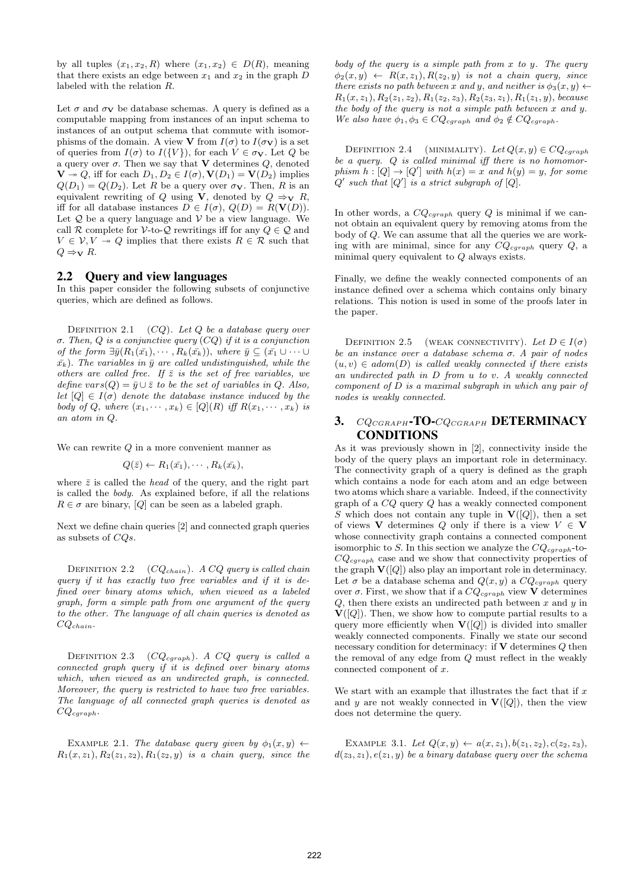by all tuples  $(x_1, x_2, R)$  where  $(x_1, x_2) \in D(R)$ , meaning that there exists an edge between  $x_1$  and  $x_2$  in the graph  $D$ labeled with the relation R.

Let  $\sigma$  and  $\sigma$ <sub>V</sub> be database schemas. A query is defined as a computable mapping from instances of an input schema to instances of an output schema that commute with isomorphisms of the domain. A view **V** from  $I(\sigma)$  to  $I(\sigma_{\mathbf{V}})$  is a set of queries from  $I(\sigma)$  to  $I({V})$ , for each  $V \in \sigma_V$ . Let Q be a query over  $\sigma$ . Then we say that **V** determines  $Q$ , denoted  $\mathbf{V} \rightarrow Q$ , iff for each  $D_1, D_2 \in I(\sigma), \mathbf{V}(D_1) = \mathbf{V}(D_2)$  implies  $Q(D_1) = Q(D_2)$ . Let R be a query over  $\sigma_{\mathbf{V}}$ . Then, R is an equivalent rewriting of Q using V, denoted by  $Q \Rightarrow_{\mathbf{V}} R$ , iff for all database instances  $D \in I(\sigma)$ ,  $Q(D) = R(V(D))$ . Let  $Q$  be a query language and  $V$  be a view language. We call R complete for V-to-Q rewritings iff for any  $Q \in \mathcal{Q}$  and  $V \in \mathcal{V}, V \to Q$  implies that there exists  $R \in \mathcal{R}$  such that  $Q \Rightarrow \nabla R$ .

#### 2.2 Query and view languages

In this paper consider the following subsets of conjunctive queries, which are defined as follows.

DEFINITION 2.1  $(CQ)$ . Let Q be a database query over σ. Then, Q is a conjunctive query (CQ) if it is a conjunction of the form  $\exists \bar{y}(R_1(\bar{x_1}), \cdots, R_k(\bar{x_k})),$  where  $\bar{y} \subseteq (\bar{x_1} \cup \cdots \cup$  $\bar{x_k}$ ). The variables in  $\bar{y}$  are called undistinguished, while the others are called free. If  $\bar{z}$  is the set of free variables, we define vars $(Q) = \bar{y} \cup \bar{z}$  to be the set of variables in Q. Also, let  $[Q] \in I(\sigma)$  denote the database instance induced by the body of Q, where  $(x_1, \dots, x_k) \in [Q](R)$  iff  $R(x_1, \dots, x_k)$  is an atom in Q.

We can rewrite Q in a more convenient manner as

$$
Q(\bar{z}) \leftarrow R_1(\bar{x_1}), \cdots, R_k(\bar{x_k}),
$$

where  $\bar{z}$  is called the *head* of the query, and the right part is called the body. As explained before, if all the relations  $R \in \sigma$  are binary, [Q] can be seen as a labeled graph.

Next we define chain queries [2] and connected graph queries as subsets of CQs.

DEFINITION 2.2  $(CQ_{chain})$ . A CQ query is called chain query if it has exactly two free variables and if it is defined over binary atoms which, when viewed as a labeled graph, form a simple path from one argument of the query to the other. The language of all chain queries is denoted as  $CQ_{chain}$ .

DEFINITION 2.3  $(CQ_{cgraph})$ . A  $CQ$  query is called a connected graph query if it is defined over binary atoms which, when viewed as an undirected graph, is connected. Moreover, the query is restricted to have two free variables. The language of all connected graph queries is denoted as  $CQ_{cgraph}.$ 

EXAMPLE 2.1. The database query given by  $\phi_1(x, y) \leftarrow$  $R_1(x, z_1), R_2(z_1, z_2), R_1(z_2, y)$  is a chain query, since the body of the query is a simple path from  $x$  to  $y$ . The query  $\phi_2(x, y) \leftarrow R(x, z_1), R(z_2, y)$  is not a chain query, since there exists no path between x and y, and neither is  $\phi_3(x, y) \leftarrow$  $R_1(x, z_1), R_2(z_1, z_2), R_1(z_2, z_3), R_2(z_3, z_1), R_1(z_1, y),$  because the body of the query is not a simple path between x and y. We also have  $\phi_1, \phi_3 \in CQ_{cgraph}$  and  $\phi_2 \notin CQ_{cgraph}$ .

DEFINITION 2.4 (MINIMALITY). Let  $Q(x, y) \in CQ_{cgraph}$ be a query.  $Q$  is called minimal iff there is no homomorphism  $h: [Q] \to [Q']$  with  $h(x) = x$  and  $h(y) = y$ , for some  $Q'$  such that  $|Q'|$  is a strict subgraph of  $|Q|$ .

In other words, a  $CQ_{cgraph}$  query Q is minimal if we cannot obtain an equivalent query by removing atoms from the body of Q. We can assume that all the queries we are working with are minimal, since for any  $CQ_{cgraph}$  query  $Q$ , a minimal query equivalent to Q always exists.

Finally, we define the weakly connected components of an instance defined over a schema which contains only binary relations. This notion is used in some of the proofs later in the paper.

DEFINITION 2.5 (WEAK CONNECTIVITY). Let  $D \in I(\sigma)$ be an instance over a database schema  $\sigma$ . A pair of nodes  $(u, v) \in adom(D)$  is called weakly connected if there exists an undirected path in D from u to v. A weakly connected component of  $D$  is a maximal subgraph in which any pair of nodes is weakly connected.

## 3. CQ<sub>CGRAPH</sub>-TO-CQ<sub>CGRAPH</sub> DETERMINACY CONDITIONS

As it was previously shown in [2], connectivity inside the body of the query plays an important role in determinacy. The connectivity graph of a query is defined as the graph which contains a node for each atom and an edge between two atoms which share a variable. Indeed, if the connectivity graph of a CQ query Q has a weakly connected component S which does not contain any tuple in  $V([Q])$ , then a set of views **V** determines Q only if there is a view  $V \in V$ whose connectivity graph contains a connected component isomorphic to S. In this section we analyze the  $CQ_{cgraph}$ -to- $CQ_{cgraph}$  case and we show that connectivity properties of the graph  $\mathbf{V}([Q])$  also play an important role in determinacy. Let  $\sigma$  be a database schema and  $Q(x, y)$  a  $CQ_{cgraph}$  query over  $\sigma$ . First, we show that if a  $CQ_{cgraph}$  view **V** determines  $Q$ , then there exists an undirected path between  $x$  and  $y$  in  $\mathbf{V}([Q])$ . Then, we show how to compute partial results to a query more efficiently when  $V([Q])$  is divided into smaller weakly connected components. Finally we state our second necessary condition for determinacy: if  $V$  determines  $Q$  then the removal of any edge from Q must reflect in the weakly connected component of x.

We start with an example that illustrates the fact that if  $x$ and y are not weakly connected in  $V([Q])$ , then the view does not determine the query.

EXAMPLE 3.1. Let  $Q(x, y) \leftarrow a(x, z_1), b(z_1, z_2), c(z_2, z_3),$  $d(z_3, z_1), e(z_1, y)$  be a binary database query over the schema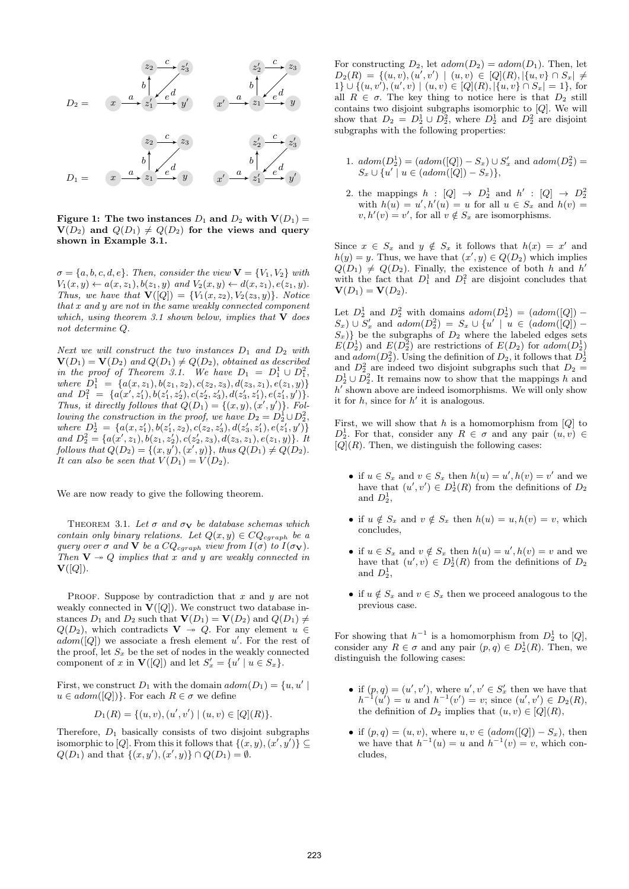

Figure 1: The two instances  $D_1$  and  $D_2$  with  $V(D_1)$  =  $V(D_2)$  and  $Q(D_1) \neq Q(D_2)$  for the views and query shown in Example 3.1.

 $\sigma = \{a, b, c, d, e\}$ . Then, consider the view  $\mathbf{V} = \{V_1, V_2\}$  with  $V_1(x, y) \leftarrow a(x, z_1), b(z_1, y) \text{ and } V_2(x, y) \leftarrow d(x, z_1), e(z_1, y).$ Thus, we have that  $\mathbf{V}([Q]) = \{V_1(x, z_2), V_2(z_3, y)\}.$  Notice that x and y are not in the same weakly connected component which, using theorem 3.1 shown below, implies that  $V$  does not determine Q.

Next we will construct the two instances  $D_1$  and  $D_2$  with  $\mathbf{V}(D_1) = \mathbf{V}(D_2)$  and  $Q(D_1) \neq Q(D_2)$ , obtained as described in the proof of Theorem 3.1. We have  $D_1 = D_1^1 \cup D_1^2$ , where  $D_1^1 = \{a(x, z_1), b(z_1, z_2), c(z_2, z_3), d(z_3, z_1), e(z_1, y)\}\$ and  $D_1^2 = \{a(x', z'_1), b(z'_1, z'_2), c(z'_2, z'_3), d(z'_3, z'_1), e(z'_1, y')\}.$ Thus, it directly follows that  $Q(D_1) = \{(x, y), (x', y')\}$ . Following the construction in the proof, we have  $D_2 = D_2^1 \cup D_2^2$ , where  $D_2^1 = \{a(x, z'_1), b(z'_1, z_2), c(z_2, z'_3), d(z'_3, z'_1), e(z'_1, y')\}$ and  $D_2^2 = \{a(x', z_1), b(z_1, z_2'), c(z_2', z_3), d(z_3, z_1), e(z_1, y)\}.$  It follows that  $Q(D_2) = \{(x, y'), (x', y)\},\$  thus  $Q(D_1) \neq Q(D_2)$ . It can also be seen that  $V(D_1) = V(D_2)$ .

We are now ready to give the following theorem.

THEOREM 3.1. Let  $\sigma$  and  $\sigma_{\mathbf{V}}$  be database schemas which contain only binary relations. Let  $Q(x, y) \in CQ_{cgraph}$  be a query over  $\sigma$  and **V** be a  $CQ_{cgraph}$  view from  $I(\sigma)$  to  $I(\sigma_{\mathbf{V}})$ . Then  $V \rightarrow Q$  implies that x and y are weakly connected in  ${\bf V}([Q]).$ 

PROOF. Suppose by contradiction that  $x$  and  $y$  are not weakly connected in  $\mathbf{V}([Q])$ . We construct two database instances  $D_1$  and  $D_2$  such that  $\mathbf{V}(D_1) = \mathbf{V}(D_2)$  and  $Q(D_1) \neq$  $Q(D_2)$ , which contradicts  $V \rightarrow Q$ . For any element  $u \in$  $adom([Q])$  we associate a fresh element u'. For the rest of the proof, let  $S_x$  be the set of nodes in the weakly connected component of x in  $\mathbf{V}([Q])$  and let  $S'_x = \{u' \mid u \in S_x\}.$ 

First, we construct  $D_1$  with the domain  $adom(D_1) = \{u, u' \mid$  $u \in \mathit{adom}([Q])\}$ . For each  $R \in \sigma$  we define

$$
D_1(R) = \{(u, v), (u', v') \mid (u, v) \in [Q](R)\}.
$$

Therefore,  $D_1$  basically consists of two disjoint subgraphs isomorphic to [Q]. From this it follows that  $\{(x, y), (x', y')\} \subseteq$  $Q(D_1)$  and that  $\{(x, y'), (x', y)\} \cap Q(D_1) = \emptyset$ .

For constructing  $D_2$ , let  $adom(D_2) = adom(D_1)$ . Then, let  $D_2(R) = \{(u, v), (u', v') \mid (u, v) \in [Q](R), |\{u, v\} \cap S_x| \neq$  $1\} \cup \{(u, v'), (u', v) \mid (u, v) \in [Q](R), |\{u, v\} \cap S_x| = 1\},\$ for all  $R \in \sigma$ . The key thing to notice here is that  $D_2$  still contains two disjoint subgraphs isomorphic to [Q]. We will show that  $D_2 = D_2^1 \cup D_2^2$ , where  $D_2^1$  and  $D_2^2$  are disjoint subgraphs with the following properties:

- 1.  $adom(D_2^1) = (adom([Q]) S_x) \cup S'_x$  and  $adom(D_2^2) =$  $S_x \cup \{u' \mid u \in (adom([Q]) - S_x)\},\$
- 2. the mappings  $h : [Q] \rightarrow D_2^1$  and  $h' : [Q] \rightarrow D_2^2$ with  $h(u) = u', h'(u) = u$  for all  $u \in S_x$  and  $h(v) =$  $v, h'(v) = v'$ , for all  $v \notin S_x$  are isomorphisms.

Since  $x \in S_x$  and  $y \notin S_x$  it follows that  $h(x) = x'$  and  $h(y) = y$ . Thus, we have that  $(x', y) \in Q(D_2)$  which implies  $Q(D_1) \neq Q(D_2)$ . Finally, the existence of both h and h' with the fact that  $D_1^1$  and  $D_1^2$  are disjoint concludes that  $$ 

Let  $D_2^1$  and  $D_2^2$  with domains  $adom(D_2^1) = (adom([Q]) S_x$ ) ∪  $S'_x$  and  $adom(D_2^2) = S_x \cup \{u' \mid u \in (adom([Q]) - \}$  $S_x$ } be the subgraphs of  $D_2$  where the labeled edges sets  $E(D_2^1)$  and  $E(D_2^2)$  are restrictions of  $E(D_2)$  for  $adom(D_2^1)$ and  $\text{adom}(D_2^2)$ . Using the definition of  $D_2$ , it follows that  $D_2^1$ and  $D_2^2$  are indeed two disjoint subgraphs such that  $D_2 =$  $D_2^1 \cup D_2^2$ . It remains now to show that the mappings h and  $h'$  shown above are indeed isomorphisms. We will only show it for  $h$ , since for  $h'$  it is analogous.

First, we will show that h is a homomorphism from  $[O]$  to  $D_2^1$ . For that, consider any  $R \in \sigma$  and any pair  $(u, v) \in$  $[Q](R)$ . Then, we distinguish the following cases:

- if  $u \in S_x$  and  $v \in S_x$  then  $h(u) = u', h(v) = v'$  and we have that  $(u', v') \in D_2^1(R)$  from the definitions of  $D_2$ and  $D_2^1$ ,
- if  $u \notin S_x$  and  $v \notin S_x$  then  $h(u) = u, h(v) = v$ , which concludes,
- if  $u \in S_x$  and  $v \notin S_x$  then  $h(u) = u', h(v) = v$  and we have that  $(u', v) \in D_2^1(R)$  from the definitions of  $D_2$ and  $D_2^1$ ,
- if  $u \notin S_x$  and  $v \in S_x$  then we proceed analogous to the previous case.

For showing that  $h^{-1}$  is a homomorphism from  $D_2^1$  to  $[Q]$ , consider any  $R \in \sigma$  and any pair  $(p, q) \in D_2^1(R)$ . Then, we distinguish the following cases:

- if  $(p, q) = (u', v')$ , where  $u', v' \in S'_x$  then we have that  $h^{-1}$  $(u') = u$  and  $h^{-1}(v') = v$ ; since  $(u', v') \in D_2(R)$ , the definition of  $D_2$  implies that  $(u, v) \in [Q](R)$ ,
- if  $(p, q) = (u, v)$ , where  $u, v \in (adom([Q]) S_x)$ , then we have that  $h^{-1}(u) = u$  and  $h^{-1}(v) = v$ , which concludes,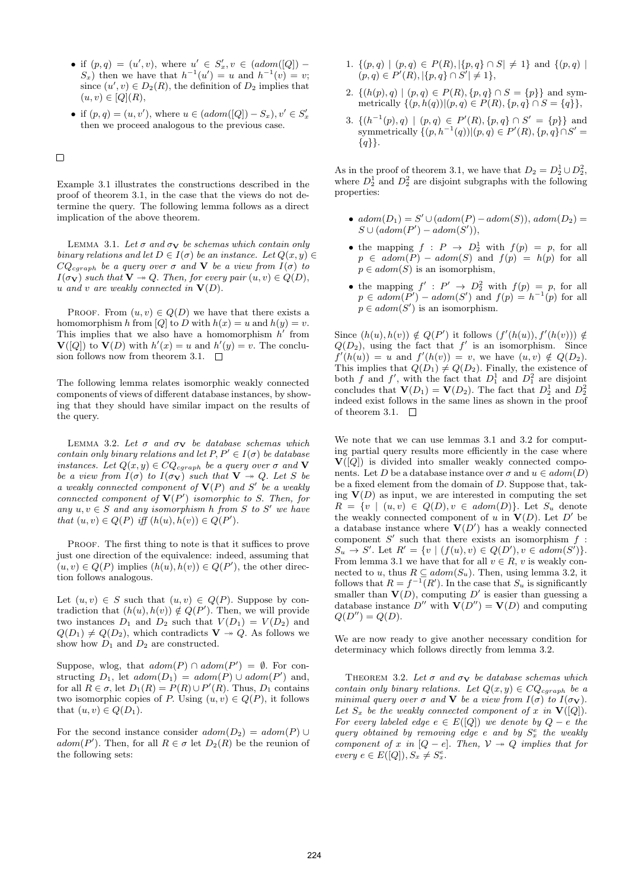- if  $(p, q) = (u', v)$ , where  $u' \in S'_x, v \in (adom([Q]) S_x$ ) then we have that  $h^{-1}(u') = u$  and  $h^{-1}(v) = v$ ; since  $(u', v) \in D_2(R)$ , the definition of  $D_2$  implies that  $(u, v) \in [Q](R),$
- if  $(p, q) = (u, v')$ , where  $u \in (adom([Q]) S_x)$ ,  $v' \in S'_x$ then we proceed analogous to the previous case.

 $\Box$ 

Example 3.1 illustrates the constructions described in the proof of theorem 3.1, in the case that the views do not determine the query. The following lemma follows as a direct implication of the above theorem.

LEMMA 3.1. Let  $\sigma$  and  $\sigma_{\mathbf{V}}$  be schemas which contain only binary relations and let  $D \in I(\sigma)$  be an instance. Let  $Q(x, y) \in$  $CQ_{cgraph}$  be a query over  $\sigma$  and **V** be a view from  $I(\sigma)$  to  $I(\sigma_{\mathbf{V}})$  such that  $\mathbf{V} \twoheadrightarrow Q$ . Then, for every pair  $(u, v) \in Q(D)$ , u and v are weakly connected in  $V(D)$ .

PROOF. From  $(u, v) \in Q(D)$  we have that there exists a homomorphism h from [Q] to D with  $h(x) = u$  and  $h(y) = v$ . This implies that we also have a homomorphism  $h'$  from  $\mathbf{V}([Q])$  to  $\mathbf{V}(D)$  with  $h'(x) = u$  and  $h'(y) = v$ . The conclusion follows now from theorem 3.1.  $\Box$ 

The following lemma relates isomorphic weakly connected components of views of different database instances, by showing that they should have similar impact on the results of the query.

LEMMA 3.2. Let  $\sigma$  and  $\sigma_{\mathbf{V}}$  be database schemas which contain only binary relations and let  $P, P' \in I(\sigma)$  be database instances. Let  $Q(x, y) \in CQ_{cgraph}$  be a query over  $\sigma$  and **V** be a view from  $I(\sigma)$  to  $I(\sigma_{\mathbf{V}})$  such that  $\mathbf{V} \rightarrow Q$ . Let S be a weakly connected component of  $V(P)$  and  $S'$  be a weakly connected component of  $V(P')$  isomorphic to S. Then, for any  $u, v \in S$  and any isomorphism h from S to S' we have that  $(u, v) \in Q(P)$  iff  $(h(u), h(v)) \in Q(P')$ .

PROOF. The first thing to note is that it suffices to prove just one direction of the equivalence: indeed, assuming that  $(u, v) \in Q(P)$  implies  $(h(u), h(v)) \in Q(P')$ , the other direction follows analogous.

Let  $(u, v) \in S$  such that  $(u, v) \in Q(P)$ . Suppose by contradiction that  $(h(u), h(v)) \notin Q(P')$ . Then, we will provide two instances  $D_1$  and  $D_2$  such that  $V(D_1) = V(D_2)$  and  $Q(D_1) \neq Q(D_2)$ , which contradicts  $V \rightarrow Q$ . As follows we show how  $D_1$  and  $D_2$  are constructed.

Suppose, wlog, that  $adom(P) \cap adom(P') = \emptyset$ . For constructing  $D_1$ , let  $adom(D_1) = adom(P) \cup adom(P')$  and, for all  $R \in \sigma$ , let  $D_1(R) = P(R) \cup P'(R)$ . Thus,  $D_1$  contains two isomorphic copies of P. Using  $(u, v) \in Q(P)$ , it follows that  $(u, v) \in Q(D_1)$ .

For the second instance consider  $adom(D_2) = adom(P) \cup$  $adom(P')$ . Then, for all  $R \in \sigma$  let  $D_2(R)$  be the reunion of the following sets:

- 1.  $\{(p,q) | (p,q) \in P(R), |\{p,q\} \cap S| \neq 1\}$  and  $\{(p,q) |$  $(p, q) \in P'(R), |\{p, q\} \cap S'| \neq 1\},$
- 2.  $\{(h(p), q) | (p, q) \in P(R), \{p, q\} \cap S = \{p\}\}\$ and symmetrically  $\{(p, h(q))|(p, q) \in P(R), \{p, q\} \cap S = \{q\}\},\$
- 3.  $\{(h^{-1}(p), q) \mid (p, q) \in P'(R), \{p, q\} \cap S' = \{p\}\}\$ and symmetrically  $\{(p, h^{-1}(q)) | (p,q) \in P'(R), \{p,q\} \cap S' =$  $\{q\}$ .

As in the proof of theorem 3.1, we have that  $D_2 = D_2^1 \cup D_2^2$ , where  $D_2^1$  and  $D_2^2$  are disjoint subgraphs with the following properties:

- $adom(D_1) = S' \cup (adom(P) adom(S)), adom(D_2) =$  $S \cup (adom(P') - adom(S')),$
- the mapping  $f : P \to D_2^1$  with  $f(p) = p$ , for all  $p \in \mathit{adom}(P) - \mathit{adom}(S)$  and  $f(p) = h(p)$  for all  $p \in adom(S)$  is an isomorphism,
- the mapping  $f' : P' \to D_2^2$  with  $f(p) = p$ , for all  $p \in \text{adom}(P') - \text{adom}(S')$  and  $f(p) = h^{-1}(p)$  for all  $p \in adom(S')$  is an isomorphism.

Since  $(h(u), h(v)) \notin Q(P')$  it follows  $(f'(h(u)), f'(h(v))) \notin Q$  $Q(D_2)$ , using the fact that  $f'$  is an isomorphism. Since  $f'(h(u)) = u$  and  $f'(h(v)) = v$ , we have  $(u, v) \notin Q(D_2)$ . This implies that  $Q(D_1) \neq Q(D_2)$ . Finally, the existence of both f and f', with the fact that  $D_1^1$  and  $D_1^2$  are disjoint concludes that  $\mathbf{V}(D_1) = \mathbf{V}(D_2)$ . The fact that  $D_2^1$  and  $D_2^2$ indeed exist follows in the same lines as shown in the proof of theorem 3.1.  $\Box$ 

We note that we can use lemmas 3.1 and 3.2 for computing partial query results more efficiently in the case where  $V([Q])$  is divided into smaller weakly connected components. Let D be a database instance over  $\sigma$  and  $u \in adom(D)$ be a fixed element from the domain of D. Suppose that, taking  $V(D)$  as input, we are interested in computing the set  $R = \{v \mid (u, v) \in Q(D), v \in \text{adom}(D)\}.$  Let  $S_u$  denote the weakly connected component of u in  $V(D)$ . Let D' be a database instance where  $V(D')$  has a weakly connected component  $S'$  such that there exists an isomorphism  $f$ :  $S_u \to S'$ . Let  $R' = \{v \mid (f(u), v) \in Q(D'), v \in adom(S')\}.$ From lemma 3.1 we have that for all  $v \in R$ , v is weakly connected to u, thus  $R \subseteq adom(S_u)$ . Then, using lemma 3.2, it follows that  $R = f^{-1}(R')$ . In the case that  $S_u$  is significantly smaller than  $V(D)$ , computing D' is easier than guessing a database instance  $D''$  with  $\mathbf{V}(D'') = \mathbf{V}(D)$  and computing  $Q(D'') = Q(D).$ 

We are now ready to give another necessary condition for determinacy which follows directly from lemma 3.2.

THEOREM 3.2. Let  $\sigma$  and  $\sigma_{\mathbf{V}}$  be database schemas which contain only binary relations. Let  $Q(x, y) \in CQ_{cgraph}$  be a minimal query over  $\sigma$  and **V** be a view from  $I(\sigma)$  to  $I(\sigma_{\mathbf{V}})$ . Let  $S_x$  be the weakly connected component of x in  $V([Q])$ . For every labeled edge  $e \in E([Q])$  we denote by  $Q - e$  the query obtained by removing edge  $e$  and by  $S_x^e$  the weakly component of x in  $[Q - e]$ . Then,  $V \rightarrow Q$  implies that for every  $e \in E([Q]), S_x \neq S_x^e$ .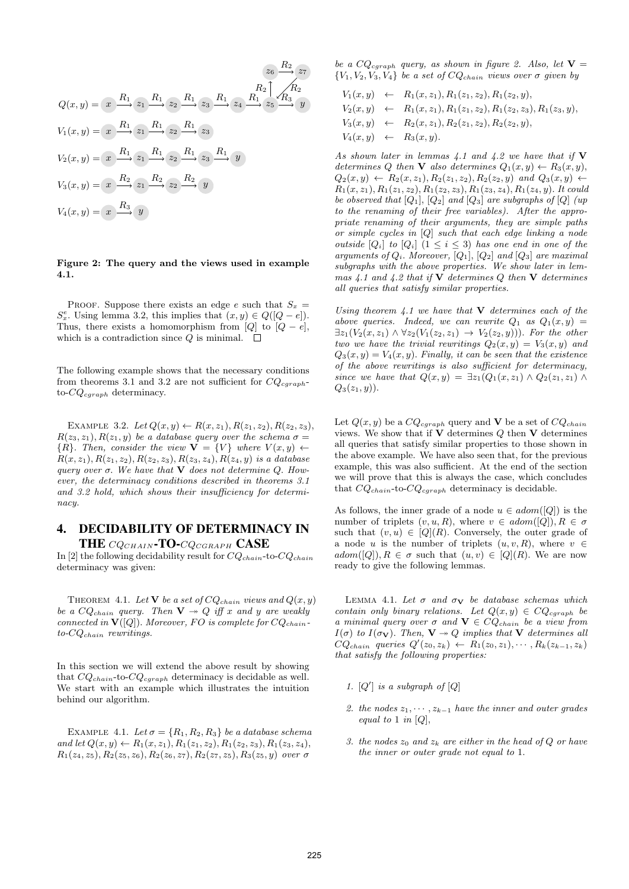$$
Q(x,y) = x \xrightarrow{R_1} z_1 \xrightarrow{R_1} z_2 \xrightarrow{R_1} z_3 \xrightarrow{R_1} \begin{array}{c} z_6 \xrightarrow{R_2} z_7 \\ x_1 \xrightarrow{R_2} \begin{array}{c} R_2 \\ \hline \end{array} \end{array}
$$
  
\n
$$
V_1(x,y) = x \xrightarrow{R_1} z_1 \xrightarrow{R_1} z_2 \xrightarrow{R_1} z_3
$$
  
\n
$$
V_2(x,y) = x \xrightarrow{R_1} z_1 \xrightarrow{R_1} z_2 \xrightarrow{R_1} z_3 \xrightarrow{R_1} y
$$
  
\n
$$
V_3(x,y) = x \xrightarrow{R_2} z_1 \xrightarrow{R_2} z_2 \xrightarrow{R_2} y
$$
  
\n
$$
V_4(x,y) = x \xrightarrow{R_3} y
$$

#### Figure 2: The query and the views used in example 4.1.

PROOF. Suppose there exists an edge e such that  $S_x =$  $S_x^e$ . Using lemma 3.2, this implies that  $(x, y) \in Q([Q - e])$ . Thus, there exists a homomorphism from [ $Q$ ] to  $[Q - e]$ , which is a contradiction since  $Q$  is minimal.  $\square$ 

The following example shows that the necessary conditions from theorems 3.1 and 3.2 are not sufficient for  $CQ_{cqraph}$ to- $CQ_{cgraph}$  determinacy.

EXAMPLE 3.2. Let  $Q(x, y) \leftarrow R(x, z_1), R(z_1, z_2), R(z_2, z_3),$  $R(z_3, z_1), R(z_1, y)$  be a database query over the schema  $\sigma =$  $\{R\}$ . Then, consider the view  $\mathbf{V} = \{V\}$  where  $V(x, y) \leftarrow$  $R(x, z_1), R(z_1, z_2), R(z_2, z_3), R(z_3, z_4), R(z_4, y)$  is a database query over  $\sigma$ . We have that  $\bf{V}$  does not determine Q. However, the determinacy conditions described in theorems 3.1 and 3.2 hold, which shows their insufficiency for determinacy.

## 4. DECIDABILITY OF DETERMINACY IN THE CQCHAIN-TO-CQCGRAPH CASE

In [2] the following decidability result for  $CQ_{chain}$ -to- $CQ_{chain}$ determinacy was given:

THEOREM 4.1. Let **V** be a set of  $CQ_{chain}$  views and  $Q(x, y)$ be a  $CQ_{chain}$  query. Then  $V \rightarrow Q$  iff x and y are weakly connected in  $V([Q])$ . Moreover, FO is complete for  $CQ_{chain}$ .  $to$ - $CQ_{chain}$  rewritings.

In this section we will extend the above result by showing that  $CQ_{chain}$ -to- $CQ_{cgraph}$  determinacy is decidable as well. We start with an example which illustrates the intuition behind our algorithm.

EXAMPLE 4.1. Let  $\sigma = \{R_1, R_2, R_3\}$  be a database schema and let  $Q(x, y) \leftarrow R_1(x, z_1), R_1(z_1, z_2), R_1(z_2, z_3), R_1(z_3, z_4),$  $R_1(z_4, z_5), R_2(z_5, z_6), R_2(z_6, z_7), R_2(z_7, z_5), R_3(z_5, y)$  over  $\sigma$ 

be a  $CQ_{cgraph}$  query, as shown in figure 2. Also, let  $V =$  ${V_1, V_2, V_3, V_4}$  be a set of  $CQ_{chain}$  views over  $\sigma$  given by

$$
V_1(x,y) \leftarrow R_1(x,z_1), R_1(z_1,z_2), R_1(z_2,y),
$$
  
\n
$$
V_2(x,y) \leftarrow R_1(x,z_1), R_1(z_1,z_2), R_1(z_2,z_3), R_1(z_3,y),
$$
  
\n
$$
V_3(x,y) \leftarrow R_2(x,z_1), R_2(z_1,z_2), R_2(z_2,y),
$$
  
\n
$$
V_4(x,y) \leftarrow R_3(x,y).
$$

As shown later in lemmas  $4.1$  and  $4.2$  we have that if V determines Q then **V** also determines  $Q_1(x, y) \leftarrow R_3(x, y)$ ,  $Q_2(x, y) \leftarrow R_2(x, z_1), R_2(z_1, z_2), R_2(z_2, y)$  and  $Q_3(x, y) \leftarrow$  $R_1(x, z_1), R_1(z_1, z_2), R_1(z_2, z_3), R_1(z_3, z_4), R_1(z_4, y)$ . It could be observed that  $[Q_1]$ ,  $[Q_2]$  and  $[Q_3]$  are subgraphs of  $[Q]$  (up to the renaming of their free variables). After the appropriate renaming of their arguments, they are simple paths or simple cycles in [Q] such that each edge linking a node outside  $[Q_i]$  to  $[Q_i]$   $(1 \leq i \leq 3)$  has one end in one of the arguments of  $Q_i$ . Moreover,  $[Q_1]$ ,  $[Q_2]$  and  $[Q_3]$  are maximal subgraphs with the above properties. We show later in lemmas  $4.1$  and  $4.2$  that if  $\overline{V}$  determines Q then  $V$  determines all queries that satisfy similar properties.

Using theorem 4.1 we have that  $V$  determines each of the above queries. Indeed, we can rewrite  $Q_1$  as  $Q_1(x, y) =$  $\exists z_1(V_2(x,z_1) \wedge \forall z_2(V_1(z_2,z_1) \rightarrow V_2(z_2,y))$ . For the other two we have the trivial rewritings  $Q_2(x, y) = V_3(x, y)$  and  $Q_3(x, y) = V_4(x, y)$ . Finally, it can be seen that the existence of the above rewritings is also sufficient for determinacy, since we have that  $Q(x, y) = \exists z_1(Q_1(x, z_1) \wedge Q_2(z_1, z_1) \wedge Q_1(z_2, z_2)$  $Q_3(z_1, y)$ .

Let  $Q(x, y)$  be a  $CQ_{cgraph}$  query and **V** be a set of  $CQ_{chain}$ views. We show that if  $\mathbf V$  determines  $Q$  then  $\mathbf V$  determines all queries that satisfy similar properties to those shown in the above example. We have also seen that, for the previous example, this was also sufficient. At the end of the section we will prove that this is always the case, which concludes that  $CQ_{chain}$ -to- $CQ_{cgraph}$  determinacy is decidable.

As follows, the inner grade of a node  $u \in adom([Q])$  is the number of triplets  $(v, u, R)$ , where  $v \in \text{adom}([Q])$ ,  $R \in \sigma$ such that  $(v, u) \in [Q](R)$ . Conversely, the outer grade of a node u is the number of triplets  $(u, v, R)$ , where  $v \in$  $adom([Q]), R \in \sigma$  such that  $(u, v) \in [Q](R)$ . We are now ready to give the following lemmas.

LEMMA 4.1. Let  $\sigma$  and  $\sigma_{\mathbf{V}}$  be database schemas which contain only binary relations. Let  $Q(x, y) \in CQ_{cgraph}$  be a minimal query over  $\sigma$  and  $\mathbf{V} \in CQ_{chain}$  be a view from  $I(\sigma)$  to  $I(\sigma_{\mathbf{V}})$ . Then,  $\mathbf{V} \rightarrow Q$  implies that  $\mathbf{V}$  determines all  $CQ_{chain}$  queries  $Q'(z_0, z_k) \leftarrow R_1(z_0, z_1), \cdots, R_k(z_{k-1}, z_k)$ that satisfy the following properties:

- 1.  $[Q']$  is a subgraph of  $[Q]$
- 2. the nodes  $z_1, \dots, z_{k-1}$  have the inner and outer grades equal to 1 in  $[Q]$ ,
- 3. the nodes  $z_0$  and  $z_k$  are either in the head of Q or have the inner or outer grade not equal to 1.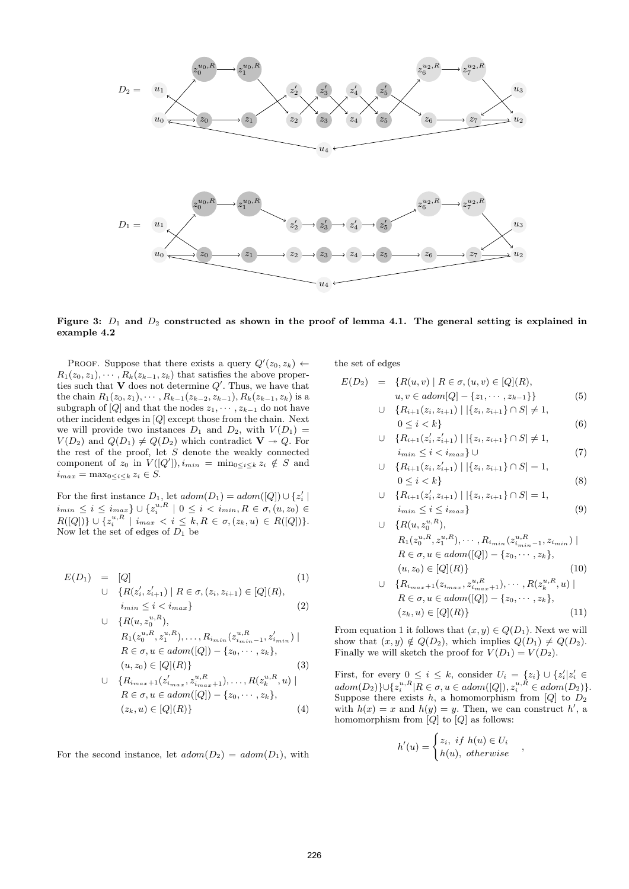

Figure 3:  $D_1$  and  $D_2$  constructed as shown in the proof of lemma 4.1. The general setting is explained in example 4.2

PROOF. Suppose that there exists a query  $Q'(z_0, z_k) \leftarrow$  $R_1(z_0, z_1), \cdots, R_k(z_{k-1}, z_k)$  that satisfies the above properties such that  $V$  does not determine  $Q'$ . Thus, we have that the chain  $R_1(z_0, z_1), \cdots, R_{k-1}(z_{k-2}, z_{k-1}), R_k(z_{k-1}, z_k)$  is a subgraph of [Q] and that the nodes  $z_1, \dots, z_{k-1}$  do not have other incident edges in [Q] except those from the chain. Next we will provide two instances  $D_1$  and  $D_2$ , with  $V(D_1)$  =  $V(D_2)$  and  $Q(D_1) \neq Q(D_2)$  which contradict  $V \twoheadrightarrow Q$ . For the rest of the proof, let  $S$  denote the weakly connected component of  $z_0$  in  $V([Q'])$ ,  $i_{min} = \min_{0 \le i \le k} z_i \notin S$  and  $i_{max} = \max_{0 \leq i \leq k} z_i \in S.$ 

For the first instance  $D_1$ , let  $adom(D_1) = adom([Q]) \cup \{z'_i \mid$  $i_{min} \leq i \leq i_{max}$   $\} \cup \{z_i^{u,R} \mid 0 \leq i < i_{min}, R \in \sigma, (u,z_0) \in$  $R([Q])\} \cup \{z_i^{u,R} \mid i_{max} < i \leq k, R \in \sigma, (z_k, u) \in R([Q])\}.$ Now let the set of edges of  $D_1$  be

$$
E(D_1) = [Q] \tag{1}
$$
  
\n
$$
\cup \{R(z'_i, z'_{i+1}) \mid R \in \sigma, (z_i, z_{i+1}) \in [Q](R),
$$
  
\n
$$
i_{min} \le i < i_{max} \}
$$
  
\n
$$
(2)
$$

$$
\cup \{R(u, z_{0}^{u,R}),\nR_1(z_{0}^{u,R}, z_{1}^{u,R}), \dots, R_{i_{min}}(z_{i_{min}-1}^{u,R}, z_{i_{min}}') \mid \nR \in \sigma, u \in adom([Q]) - \{z_{0}, \dots, z_{k}\},\n(u, z_{0}) \in [Q](R)\}
$$
\n
$$
\cup \{R_{i_{max}+1}(z_{i_{max}}, z_{i_{max}+1}^{u,R}), \dots, R(z_{k}^{u,R}, u) \mid \n\}
$$
\n(3)

$$
\cup \{R_{i_{max}+1}(z'_{i_{max}}, z^{u,R}_{i_{max}+1}), \dots, R(z^{u,R}_{k}, u) \mid R \in \sigma, u \in adom([Q]) - \{z_0, \dots, z_k\}, (z_k, u) \in [Q](R)\}
$$
(4)

For the second instance, let  $adom(D_2) = adom(D_1)$ , with

the set of edges

$$
E(D_2) = \{ R(u, v) \mid R \in \sigma, (u, v) \in [Q](R),
$$
  

$$
u, v \in adom[Q] - \{z_1, \cdots, z_{k-1}\}\}
$$
(5)

$$
\cup \{R_{i+1}(z_i, z_{i+1}) \mid |\{z_i, z_{i+1}\} \cap S| \neq 1, 0 \leq i < k\} \tag{6}
$$

$$
\cup \{ R_{i+1}(z'_i, z'_{i+1}) \mid |\{z_i, z_{i+1}\} \cap S| \neq 1, \n i_{\min} \leq i < i_{\max} \} \cup \tag{7}
$$

$$
\cup \{ R_{i+1}(z_i, z'_{i+1}) \mid |\{z_i, z_{i+1}\} \cap S| = 1, 0 \le i < k \}
$$
 (8)

$$
\cup \{ R_{i+1}(z'_i, z_{i+1}) \mid |\{z_i, z_{i+1}\} \cap S| = 1, \n i_{\min} \le i \le i_{\max} \}
$$
\n(9)

$$
\cup \{R(u, z_0^{u,R}),\nR_1(z_0^{u,R}, z_1^{u,R}), \cdots, R_{i_{min}}(z_{i_{min}-1}^{u,R}, z_{i_{min}}) | \nR \in \sigma, u \in adom([Q]) - \{z_0, \cdots, z_k\},\n(u, z_0) \in [Q](R)\}\n\cup \{R_{i_{max}+1}(z_{i_{max}}, z_{i_{max}+1}^{u,R}), \cdots, R(z_k^{u,R}, u) |
$$
\n(10)

$$
R \in \sigma, u \in adom([Q]) - \{z_0, \cdots, z_k\},
$$
  
\n
$$
(z_k, u) \in [Q](R)\}
$$
\n(11)

From equation 1 it follows that  $(x, y) \in Q(D_1)$ . Next we will show that  $(x, y) \notin Q(D_2)$ , which implies  $Q(D_1) \neq Q(D_2)$ . Finally we will sketch the proof for  $V(D_1) = V(D_2)$ .

First, for every  $0 \leq i \leq k$ , consider  $U_i = \{z_i\} \cup \{z'_i | z'_i \in$  $adom(D_2)\}\cup \{z_i^{u,R}| R \in \sigma, u \in adom([Q]), z_i^{u,R} \in adom(D_2)\}.$ Suppose there exists h, a homomorphism from  $[Q]$  to  $D_2$ with  $h(x) = x$  and  $h(y) = y$ . Then, we can construct h', a homomorphism from  $[Q]$  to  $[Q]$  as follows:

$$
h'(u) = \begin{cases} z_i, & if \ h(u) \in U_i \\ h(u), & otherwise \end{cases}
$$

,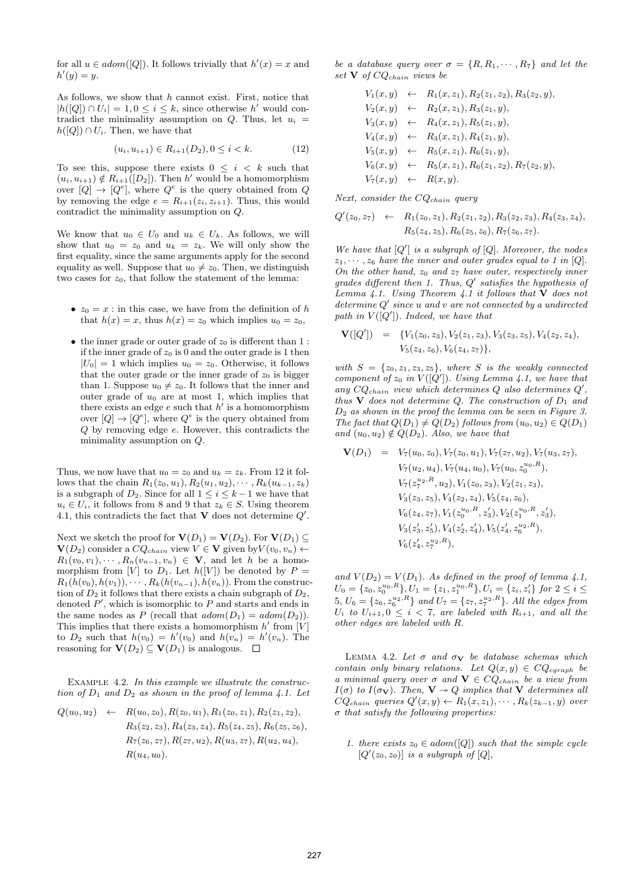for all  $u \in adom([Q])$ . It follows trivially that  $h'(x) = x$  and  $h'(y) = y.$ 

As follows, we show that  $h$  cannot exist. First, notice that  $|h([Q]) \cap U_i| = 1, 0 \leq i \leq k$ , since otherwise h' would contradict the minimality assumption on  $Q$ . Thus, let  $u_i =$  $h([Q]) \cap U_i$ . Then, we have that

$$
(u_i, u_{i+1}) \in R_{i+1}(D_2), 0 \le i < k. \tag{12}
$$

To see this, suppose there exists  $0 \leq i \leq k$  such that  $(u_i, u_{i+1}) \notin R_{i+1}([D_2])$ . Then h' would be a homomorphism over  $[Q] \rightarrow [Q^e]$ , where  $Q^e$  is the query obtained from Q by removing the edge  $e = R_{i+1}(z_i, z_{i+1})$ . Thus, this would contradict the minimality assumption on Q.

We know that  $u_0 \in U_0$  and  $u_k \in U_k$ . As follows, we will show that  $u_0 = z_0$  and  $u_k = z_k$ . We will only show the first equality, since the same arguments apply for the second equality as well. Suppose that  $u_0 \neq z_0$ . Then, we distinguish two cases for  $z_0$ , that follow the statement of the lemma:

- $z_0 = x$ : in this case, we have from the definition of h that  $h(x) = x$ , thus  $h(x) = z_0$  which implies  $u_0 = z_0$ ,
- the inner grade or outer grade of  $z_0$  is different than 1 : if the inner grade of  $z_0$  is 0 and the outer grade is 1 then  $|U_0| = 1$  which implies  $u_0 = z_0$ . Otherwise, it follows that the outer grade or the inner grade of  $z_0$  is bigger than 1. Suppose  $u_0 \neq z_0$ . It follows that the inner and outer grade of  $u_0$  are at most 1, which implies that there exists an edge  $e$  such that  $h'$  is a homomorphism over  $[Q] \to [Q^e]$ , where  $Q^e$  is the query obtained from Q by removing edge e. However, this contradicts the minimality assumption on Q.

Thus, we now have that  $u_0 = z_0$  and  $u_k = z_k$ . From 12 it follows that the chain  $R_1(z_0, u_1), R_2(u_1, u_2), \cdots, R_k(u_{k-1}, z_k)$ is a subgraph of  $D_2$ . Since for all  $1 \leq i \leq k-1$  we have that  $u_i \in U_i$ , it follows from 8 and 9 that  $z_k \in S$ . Using theorem 4.1, this contradicts the fact that  $V$  does not determine  $Q'$ .

Next we sketch the proof for  $\mathbf{V}(D_1) = \mathbf{V}(D_2)$ . For  $\mathbf{V}(D_1) \subset$  $\mathbf{V}(D_2)$  consider a  $CQ_{chain}$  view  $V \in \mathbf{V}$  given by  $V(v_0, v_n) \leftarrow$  $R_1(v_0, v_1), \cdots, R_n(v_{n-1}, v_n) \in \mathbf{V}$ , and let h be a homomorphism from [V] to  $D_1$ . Let  $h([V])$  be denoted by  $P =$  $R_1(h(v_0), h(v_1)), \cdots, R_k(h(v_{n-1}), h(v_n))$ . From the construction of  $D_2$  it follows that there exists a chain subgraph of  $D_2$ , denoted  $P'$ , which is isomorphic to  $P$  and starts and ends in the same nodes as P (recall that  $adom(D_1) = adom(D_2)$ ). This implies that there exists a homomorphism  $h'$  from  $[V]$ to  $D_2$  such that  $h(v_0) = h'(v_0)$  and  $h(v_n) = h'(v_n)$ . The reasoning for  $\mathbf{V}(D_2) \subseteq \mathbf{V}(D_1)$  is analogous.  $\square$ 

EXAMPLE 4.2. In this example we illustrate the construction of  $D_1$  and  $D_2$  as shown in the proof of lemma 4.1. Let

$$
Q(u_0, u_2) \leftarrow R(u_0, z_0), R(z_0, u_1), R_1(z_0, z_1), R_2(z_1, z_2),
$$
  
\n
$$
R_3(z_2, z_3), R_4(z_3, z_4), R_5(z_4, z_5), R_6(z_5, z_6),
$$
  
\n
$$
R_7(z_6, z_7), R(z_7, u_2), R(u_3, z_7), R(u_2, u_4),
$$
  
\n
$$
R(u_4, u_0).
$$

be a database query over  $\sigma = \{R, R_1, \dots, R_7\}$  and let the set  $V$  of  $CQ_{chain}$  views be

$$
V_1(x, y) \leftarrow R_1(x, z_1), R_2(z_1, z_2), R_3(z_2, y),
$$
  
\n
$$
V_2(x, y) \leftarrow R_2(x, z_1), R_3(z_1, y),
$$
  
\n
$$
V_3(x, y) \leftarrow R_4(x, z_1), R_5(z_1, y),
$$
  
\n
$$
V_4(x, y) \leftarrow R_3(x, z_1), R_4(z_1, y),
$$
  
\n
$$
V_5(x, y) \leftarrow R_5(x, z_1), R_6(z_1, y),
$$
  
\n
$$
V_6(x, y) \leftarrow R_5(x, z_1), R_6(z_1, z_2), R_7(z_2, y),
$$
  
\n
$$
V_7(x, y) \leftarrow R(x, y).
$$

Next, consider the  $CQ_{chain}$  query

$$
Q'(z_0, z_7) \leftarrow R_1(z_0, z_1), R_2(z_1, z_2), R_3(z_2, z_3), R_4(z_3, z_4),
$$
  

$$
R_5(z_4, z_5), R_6(z_5, z_6), R_7(z_6, z_7).
$$

We have that  $[Q']$  is a subgraph of  $[Q]$ . Moreover, the nodes  $z_1, \dots, z_6$  have the inner and outer grades equal to 1 in [Q]. On the other hand,  $z_0$  and  $z_7$  have outer, respectively inner grades different then 1. Thus,  $Q'$  satisfies the hypothesis of Lemma 4.1. Using Theorem 4.1 it follows that  $V$  does not  $determine Q'$  since u and v are not connected by a undirected path in  $V([Q'])$ . Indeed, we have that

$$
\mathbf{V}([Q']) = \{V_1(z_0, z_3), V_2(z_1, z_3), V_3(z_3, z_5), V_4(z_2, z_4), V_5(z_4, z_6), V_6(z_4, z_7)\},\
$$

with  $S = \{z_0, z_1, z_3, z_5\}$ , where S is the weakly connected component of  $z_0$  in  $V([Q'])$ . Using Lemma 4.1, we have that any  $CQ_{chain}$  view which determines  $Q$  also determines  $Q'$ , thus  $\bf{V}$  does not determine Q. The construction of  $D_1$  and  $D_2$  as shown in the proof the lemma can be seen in Figure 3. The fact that  $Q(D_1) \neq Q(D_2)$  follows from  $(u_0, u_2) \in Q(D_1)$ and  $(u_0, u_2) \notin Q(D_2)$ . Also, we have that

$$
\mathbf{V}(D_1) = V_7(u_0, z_0), V_7(z_0, u_1), V_7(z_7, u_2), V_7(u_3, z_7),
$$
  
\n
$$
V_7(u_2, u_4), V_7(u_4, u_0), V_7(u_0, z_0^{u_0, R}),
$$
  
\n
$$
V_7(z_7^{u_2, R}, u_2), V_1(z_0, z_3), V_2(z_1, z_3),
$$
  
\n
$$
V_3(z_3, z_5), V_4(z_2, z_4), V_5(z_4, z_6),
$$
  
\n
$$
V_6(z_4, z_7), V_1(z_0^{u_0, R}, z_3'), V_2(z_1^{u_0, R}, z_3'),
$$
  
\n
$$
V_3(z_3', z_5'), V_4(z_2', z_4'), V_5(z_4', z_6^{u_2, R}),
$$
  
\n
$$
V_6(z_4', z_7^{u_2, R}),
$$

and  $V(D_2) = V(D_1)$ . As defined in the proof of lemma 4.1,  $U_0 = \{z_0, z_0^{u_0, R}\}, U_1 = \{z_1, z_1^{u_0, R}\}, U_i = \{z_i, z_i'\}$  for  $2 \le i \le n$  $5, U_6 = \{z_6, z_6^{u_2, R}\}\$  and  $U_7 = \{z_7, z_7^{u_2, R}\}\$ . All the edges from  $U_i$  to  $U_{i+1}, 0 \leq i < 7$ , are labeled with  $R_{i+1}$ , and all the other edges are labeled with R.

LEMMA 4.2. Let  $\sigma$  and  $\sigma_{\mathbf{V}}$  be database schemas which contain only binary relations. Let  $Q(x, y) \in CQ_{cgraph}$  be a minimal query over  $\sigma$  and  $\mathbf{V} \in CQ_{chain}$  be a view from  $I(\sigma)$  to  $I(\sigma_{\mathbf{V}})$ . Then,  $\mathbf{V} \rightarrow Q$  implies that  $\mathbf{V}$  determines all  $CQ_{chain}$  queries  $Q'(x, y) \leftarrow R_1(x, z_1), \cdots, R_k(z_{k-1}, y)$  over  $\sigma$  that satisfy the following properties:

1. there exists  $z_0 \in \text{adom}([Q])$  such that the simple cycle  $[Q'(z_0, z_0)]$  is a subgraph of  $[Q]$ ,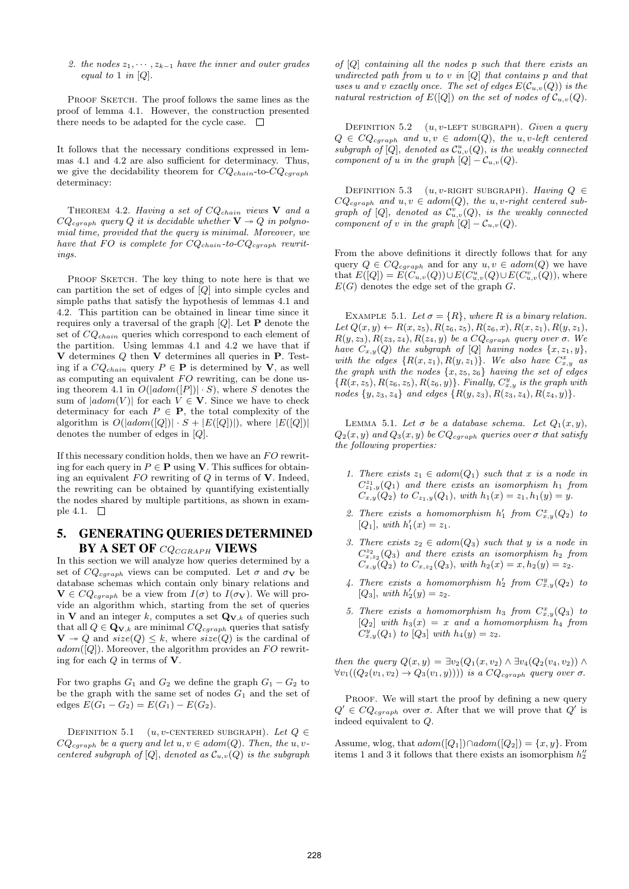2. the nodes  $z_1, \dots, z_{k-1}$  have the inner and outer grades equal to 1 in [Q].

PROOF SKETCH. The proof follows the same lines as the proof of lemma 4.1. However, the construction presented there needs to be adapted for the cycle case.  $\Box$ 

It follows that the necessary conditions expressed in lemmas 4.1 and 4.2 are also sufficient for determinacy. Thus, we give the decidability theorem for  $CQ_{chain}$ -to- $CQ_{cgraph}$ determinacy:

THEOREM 4.2. Having a set of  $CQ_{chain}$  views  $V$  and a  $CQ_{cgraph}$  query Q it is decidable whether  $V \rightarrow Q$  in polynomial time, provided that the query is minimal. Moreover, we have that FO is complete for  $CQ_{chain}$ -to- $CQ_{cgraph}$  rewritings.

PROOF SKETCH. The key thing to note here is that we can partition the set of edges of [Q] into simple cycles and simple paths that satisfy the hypothesis of lemmas 4.1 and 4.2. This partition can be obtained in linear time since it requires only a traversal of the graph  $[Q]$ . Let **P** denote the set of  $CQ_{chain}$  queries which correspond to each element of the partition. Using lemmas 4.1 and 4.2 we have that if  **determines**  $Q$  **then**  $**V**$  **determines all queries in**  $**P**$ **. Test**ing if a  $CQ_{chain}$  query  $P \in \mathbf{P}$  is determined by **V**, as well as computing an equivalent  $FO$  rewriting, can be done using theorem 4.1 in  $O(|adom([P])| \cdot S)$ , where S denotes the sum of  $|adom(V)|$  for each  $V \in V$ . Since we have to check determinacy for each  $P \in \mathbf{P}$ , the total complexity of the algorithm is  $O(|adom([Q])| \cdot S + |E([Q])|)$ , where  $|E([Q])|$ denotes the number of edges in [Q].

If this necessary condition holds, then we have an  $FO$  rewriting for each query in  $P \in \mathbf{P}$  using **V**. This suffices for obtaining an equivalent  $FO$  rewriting of  $Q$  in terms of  $V$ . Indeed, the rewriting can be obtained by quantifying existentially the nodes shared by multiple partitions, as shown in example 4.1.  $\square$ 

## 5. GENERATING QUERIES DETERMINED  $BY A SET OF CQ_{CGRAPH} VIEWS$

In this section we will analyze how queries determined by a set of  $CQ_{cgraph}$  views can be computed. Let  $\sigma$  and  $\sigma_{\mathbf{V}}$  be database schemas which contain only binary relations and  $\mathbf{V} \in CQ_{cgraph}$  be a view from  $I(\sigma)$  to  $I(\sigma_{\mathbf{V}})$ . We will provide an algorithm which, starting from the set of queries in **V** and an integer k, computes a set  $\mathbf{Q}_{\mathbf{V},k}$  of queries such that all  $Q \in \mathbf{Q}_{\mathbf{V},k}$  are minimal  $CQ_{cgraph}$  queries that satisfy  $\mathbf{V} \twoheadrightarrow Q$  and  $size(Q) \leq k$ , where  $size(Q)$  is the cardinal of  $adom([Q])$ . Moreover, the algorithm provides an FO rewriting for each Q in terms of V.

For two graphs  $G_1$  and  $G_2$  we define the graph  $G_1 - G_2$  to be the graph with the same set of nodes  $G_1$  and the set of edges  $E(G_1 - G_2) = E(G_1) - E(G_2)$ .

DEFINITION 5.1 (u, v-CENTERED SUBGRAPH). Let  $Q \in$  $CQ_{cgraph}$  be a query and let  $u, v \in adom(Q)$ . Then, the u, vcentered subgraph of  $[Q]$ , denoted as  $\mathcal{C}_{u,v}(Q)$  is the subgraph of  $[Q]$  containing all the nodes p such that there exists an undirected path from  $u$  to  $v$  in  $[Q]$  that contains  $p$  and that uses u and v exactly once. The set of edges  $E(C_{u,v}(Q))$  is the natural restriction of  $E([Q])$  on the set of nodes of  $\mathcal{C}_{u,v}(Q)$ .

DEFINITION 5.2  $(u, v$ -LEFT SUBGRAPH). Given a query  $Q \in CQ_{cgraph}$  and  $u, v \in adom(Q)$ , the u, v-left centered subgraph of  $[Q]$ , denoted as  $\mathcal{C}^u_{u,v}(Q)$ , is the weakly connected component of u in the graph  $[Q] - \mathcal{C}_{u,v}(Q)$ .

DEFINITION 5.3 (u, v-RIGHT SUBGRAPH). Having  $Q \in$  $CQ_{cgraph}$  and  $u, v \in adom(Q)$ , the  $u, v-right$  centered subgraph of  $[Q]$ , denoted as  $\mathcal{C}^v_{u,v}(Q)$ , is the weakly connected component of v in the graph  $[Q] - \mathcal{C}_{u,v}(Q)$ .

From the above definitions it directly follows that for any query  $Q \in CQ_{cgraph}$  and for any  $u, v \in adom(Q)$  we have that  $E([Q]) = E(C_{u,v}(Q)) \cup E(C_{u,v}^u(Q) \cup E(C_{u,v}^v(Q)),$  where  $E(G)$  denotes the edge set of the graph G.

EXAMPLE 5.1. Let  $\sigma = \{R\}$ , where R is a binary relation. Let  $Q(x, y) \leftarrow R(x, z_5), R(z_6, z_5), R(z_6, x), R(x, z_1), R(y, z_1),$  $R(y, z_3), R(z_3, z_4), R(z_4, y)$  be a  $CQ_{cgraph}$  query over  $\sigma$ . We have  $C_{x,y}(Q)$  the subgraph of  $[Q]$  having nodes  $\{x, z_1, y\}$ , with the edges  $\{R(x, z_1), R(y, z_1)\}\$ . We also have  $C_{x,y}^x$  as the graph with the nodes  $\{x, z_5, z_6\}$  having the set of edges  ${R(x, z_5), R(z_6, z_5), R(z_6, y)}$ . Finally,  $C_{x,y}^y$  is the graph with nodes  $\{y, z_3, z_4\}$  and edges  $\{R(y, z_3), R(z_3, z_4), R(z_4, y)\}.$ 

LEMMA 5.1. Let  $\sigma$  be a database schema. Let  $Q_1(x, y)$ ,  $Q_2(x, y)$  and  $Q_3(x, y)$  be  $CQ_{cgraph}$  queries over  $\sigma$  that satisfy the following properties:

- 1. There exists  $z_1 \in \text{adom}(Q_1)$  such that x is a node in  $C_{z_1,y}^{z_1}(Q_1)$  and there exists an isomorphism  $h_1$  from  $C_{x,y}(Q_2)$  to  $C_{z_1,y}(Q_1)$ , with  $h_1(x) = z_1, h_1(y) = y$ .
- 2. There exists a homomorphism  $h'_1$  from  $C_{x,y}^x(Q_2)$  to [ $Q_1$ ], with  $h'_1(x) = z_1$ .
- 3. There exists  $z_2 \in \text{adom}(Q_3)$  such that y is a node in  $C_{x,z_2}^{z_2}(Q_3)$  and there exists an isomorphism  $h_2$  from  $C_{x,y}(Q_2)$  to  $C_{x,z_2}(Q_3)$ , with  $h_2(x) = x, h_2(y) = z_2$ .
- 4. There exists a homomorphism  $h'_2$  from  $C_{x,y}^y(Q_2)$  to [ $Q_3$ ], with  $h'_2(y) = z_2$ .
- 5. There exists a homomorphism  $h_3$  from  $C_{x,y}^x(Q_3)$  to  $[Q_2]$  with  $h_3(x) = x$  and a homomorphism  $h_4$  from  $C_{x,y}^y(Q_1)$  to  $[Q_3]$  with  $h_4(y) = z_2$ .

then the query  $Q(x, y) = \exists v_2(Q_1(x, v_2) \wedge \exists v_4(Q_2(v_4, v_2)) \wedge$  $\forall v_1((Q_2(v_1, v_2) \rightarrow Q_3(v_1, y))))$  is a  $CQ_{cgraph}$  query over  $\sigma$ .

PROOF. We will start the proof by defining a new query  $Q' \in CQ_{cgraph}$  over  $\sigma$ . After that we will prove that  $Q'$  is indeed equivalent to Q.

Assume, wlog, that  $adom([Q_1]) \cap adom([Q_2]) = \{x, y\}$ . From items 1 and 3 it follows that there exists an isomorphism  $h_2''$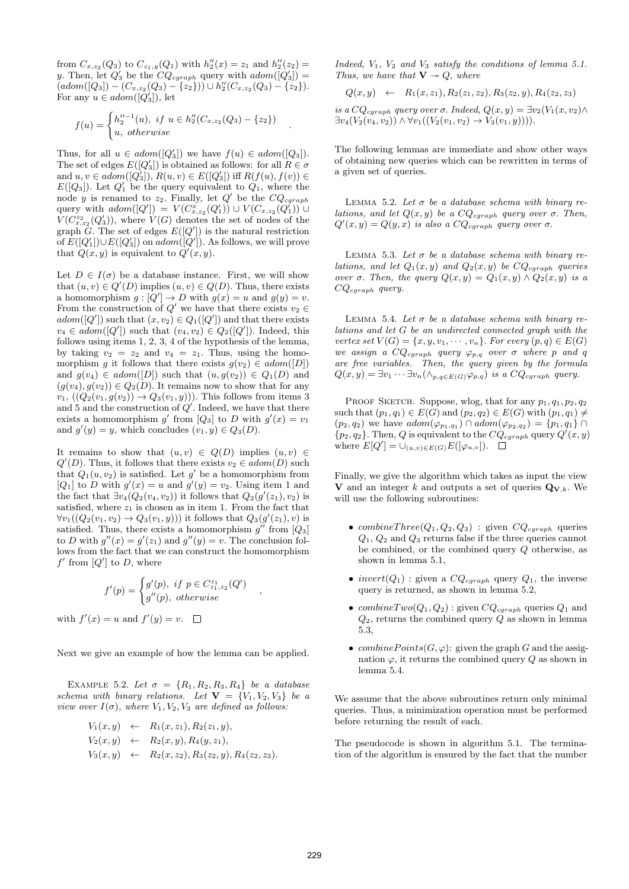from  $C_{x,z_2}(Q_3)$  to  $C_{z_1,y}(Q_1)$  with  $h''_2(x) = z_1$  and  $h''_2(z_2) = z_2$ y. Then, let  $Q'_3$  be the  $CQ_{cgraph}$  query with  $adom([Q'_3]) =$  $(adom([Q_3]) - (C_{x,z_2}(Q_3) - \{z_2\})) \cup h''_2(C_{x,z_2}(Q_3) - \{z_2\}).$ For any  $u \in \mathit{adom}([\overline{Q_3}]),$  let

$$
f(u) = \begin{cases} h_2''^{-1}(u), & \text{if } u \in h_2''(C_{x,z_2}(Q_3) - \{z_2\})\\ u, & \text{otherwise} \end{cases}
$$

.

Thus, for all  $u \in \text{adom}([Q'_3])$  we have  $f(u) \in \text{adom}([Q_3])$ . The set of edges  $E([Q_3'])$  is obtained as follows: for all  $R \in \sigma$ and  $u, v \in adom([Q_3'])$ ,  $R(u, v) \in E([Q_3'])$  iff  $R(f(u), f(v)) \in$  $E([Q_3])$ . Let  $Q'_1$  be the query equivalent to  $Q_1$ , where the node y is renamed to  $z_2$ . Finally, let  $Q'$  be the  $CQ_{cgraph}$ query with  $adom([Q']) = V(C_{x,z_2}^x(Q'_1)) \cup V(C_{x,z_2}(Q'_1)) \cup$  $V(C_{x,z_2}^{z_2}(Q'_3))$ , where  $V(G)$  denotes the set of nodes of the graph  $\tilde{G}$ . The set of edges  $E([Q'])$  is the natural restriction of  $E([Q_1'])\cup E([Q_3'])$  on  $adom([Q'])$ . As follows, we will prove that  $Q(x, y)$  is equivalent to  $Q'(x, y)$ .

Let  $D \in I(\sigma)$  be a database instance. First, we will show that  $(u, v) \in Q'(D)$  implies  $(u, v) \in Q(D)$ . Thus, there exists a homomorphism  $g: [Q'] \to D$  with  $g(x) = u$  and  $g(y) = v$ . From the construction of  $Q'$  we have that there exists  $v_2 \in$  $adom([Q'])$  such that  $(x, v_2) \in Q_1([Q'])$  and that there exists  $v_4 \in \text{adom}([Q'])$  such that  $(v_4, v_2) \in Q_2([Q'])$ . Indeed, this follows using items 1, 2, 3, 4 of the hypothesis of the lemma, by taking  $v_2 = z_2$  and  $v_4 = z_1$ . Thus, using the homomorphism g it follows that there exists  $g(v_2) \in adom([D])$ and  $g(v_4) \in adom([D])$  such that  $(u, g(v_2)) \in Q_1(D)$  and  $(g(v_4), g(v_2)) \in Q_2(D)$ . It remains now to show that for any  $v_1, ((Q_2(v_1, g(v_2)) \rightarrow Q_3(v_1, y))$ . This follows from items 3 and 5 and the construction of  $Q'$ . Indeed, we have that there exists a homomorphism g' from  $[Q_3]$  to D with  $g'(x) = v_1$ and  $g'(y) = y$ , which concludes  $(v_1, y) \in Q_3(D)$ .

It remains to show that  $(u, v) \in Q(D)$  implies  $(u, v) \in$  $Q'(D)$ . Thus, it follows that there exists  $v_2 \in \mathit{adom}(D)$  such that  $Q_1(u, v_2)$  is satisfied. Let  $g'$  be a homomorphism from  $[Q_1]$  to D with  $g'(x) = u$  and  $g'(y) = v_2$ . Using item 1 and the fact that  $\exists v_4(Q_2(v_4, v_2))$  it follows that  $Q_2(g'(z_1), v_2)$  is satisfied, where  $z_1$  is chosen as in item 1. From the fact that  $\forall v_1((Q_2(v_1,v_2) \rightarrow Q_3(v_1,y)))$  it follows that  $Q_3(g'(z_1), v)$  is satisfied. Thus, there exists a homomorphism  $g''$  from  $[Q_3]$ to D with  $g''(x) = g'(z_1)$  and  $g''(y) = v$ . The conclusion follows from the fact that we can construct the homomorphism  $f'$  from  $[Q']$  to D, where

$$
f'(p) = \begin{cases} g'(p), & \text{if } p \in C_{z_1, z_2}^{z_1}(Q') \\ g''(p), & \text{otherwise} \end{cases}
$$

,

with  $f'(x) = u$  and  $f'(y) = v$ .

Next we give an example of how the lemma can be applied.

EXAMPLE 5.2. Let  $\sigma = \{R_1, R_2, R_3, R_4\}$  be a database schema with binary relations. Let  $V = \{V_1, V_2, V_3\}$  be a view over  $I(\sigma)$ , where  $V_1, V_2, V_3$  are defined as follows:

$$
V_1(x, y) \leftarrow R_1(x, z_1), R_2(z_1, y),
$$
  
\n
$$
V_2(x, y) \leftarrow R_2(x, y), R_4(y, z_1),
$$
  
\n
$$
V_3(x, y) \leftarrow R_2(x, z_2), R_3(z_2, y), R_4(z_2, z_3).
$$

Indeed,  $V_1$ ,  $V_2$  and  $V_3$  satisfy the conditions of lemma 5.1. Thus, we have that  $V \rightarrow Q$ , where

$$
Q(x,y) \leftarrow R_1(x,z_1), R_2(z_1,z_2), R_3(z_2,y), R_4(z_2,z_3)
$$

is a  $CQ_{cgraph}$  query over  $\sigma$ . Indeed,  $Q(x, y) = \exists v_2(V_1(x, v_2) \wedge$  $\exists v_4(V_2(v_4, v_2)) \wedge \forall v_1((V_2(v_1, v_2) \rightarrow V_3(v_1, y))).$ 

The following lemmas are immediate and show other ways of obtaining new queries which can be rewritten in terms of a given set of queries.

LEMMA 5.2. Let  $\sigma$  be a database schema with binary relations, and let  $Q(x, y)$  be a  $CQ_{cgraph}$  query over  $\sigma$ . Then,  $Q'(x,y) = Q(y,x)$  is also a  $CQ_{cgraph}$  query over  $\sigma$ .

LEMMA 5.3. Let  $\sigma$  be a database schema with binary relations, and let  $Q_1(x, y)$  and  $Q_2(x, y)$  be  $CQ_{cgraph}$  queries over  $\sigma$ . Then, the query  $Q(x, y) = Q_1(x, y) \wedge Q_2(x, y)$  is a  $CQ_{cgraph}$  query.

LEMMA 5.4. Let  $\sigma$  be a database schema with binary relations and let G be an undirected connected graph with the vertex set  $V(G) = \{x, y, v_1, \dots, v_n\}$ . For every  $(p, q) \in E(G)$ we assign a  $CQ_{cgraph}$  query  $\varphi_{p,q}$  over  $\sigma$  where p and q are free variables. Then, the query given by the formula  $Q(x, y) = \exists v_1 \cdots \exists v_n (\wedge_{p,q \in E(G)} \varphi_{p,q})$  is a  $CQ_{cgraph}$  query.

PROOF SKETCH. Suppose, wlog, that for any  $p_1, q_1, p_2, q_2$ such that  $(p_1, q_1) \in E(G)$  and  $(p_2, q_2) \in E(G)$  with  $(p_1, q_1) \neq$  $(p_2, q_2)$  we have  $adom(\varphi_{p_1,q_1}) \cap adom(\varphi_{p_2,q_2}) = \{p_1, q_1\} \cap$  $\{p_2, q_2\}$ . Then, Q is equivalent to the  $CQ_{cgraph}$  query  $Q'(x, y)$ where  $E[Q'] = \bigcup_{(u,v)\in E(G)} E([\varphi_{u,v}]).$ 

Finally, we give the algorithm which takes as input the view V and an integer k and outputs a set of queries  $\mathbf{Q}_{\mathbf{V},k}$ . We will use the following subroutines:

- combineThree( $Q_1, Q_2, Q_3$ ) : given  $CQ_{cqraph}$  queries  $Q_1, Q_2$  and  $Q_3$  returns false if the three queries cannot be combined, or the combined query Q otherwise, as shown in lemma 5.1,
- invert $(Q_1)$ : given a  $CQ_{cgraph}$  query  $Q_1$ , the inverse query is returned, as shown in lemma 5.2,
- combineTwo( $Q_1, Q_2$ ) : given  $CQ_{cgraph}$  queries  $Q_1$  and  $Q_2$ , returns the combined query  $Q$  as shown in lemma 5.3,
- combine  $Points(G, \varphi)$ : given the graph G and the assignation  $\varphi$ , it returns the combined query Q as shown in lemma 5.4.

We assume that the above subroutines return only minimal queries. Thus, a minimization operation must be performed before returning the result of each.

The pseudocode is shown in algorithm 5.1. The termination of the algorithm is ensured by the fact that the number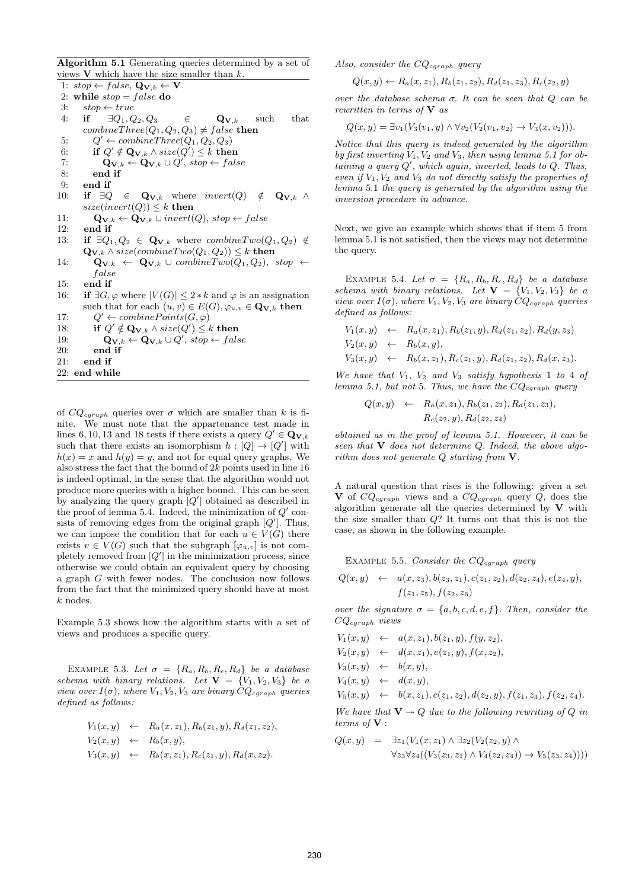Algorithm 5.1 Generating queries determined by a set of views  $V$  which have the size smaller than  $k$ .

1:  $stop \leftarrow false, \mathbf{Q}_{\mathbf{V},k} \leftarrow \mathbf{V}$ 2: while  $stop = false$  do 3:  $stop \leftarrow true$ 4: if  $\exists Q_1, Q_2, Q_3 \in \mathbf{Q}_{\mathbf{V},k}$  such that  $combineThree(Q_1, Q_2, Q_3) \neq false$  then 5:  $Q' \leftarrow \text{combineThree}(Q_1, Q_2, Q_3)$ 6: if  $Q' \notin \mathbf{Q}_{\mathbf{V},k} \wedge size(Q') \leq k$  then 7:  $\mathbf{Q}_{\mathbf{V},k} \leftarrow \mathbf{Q}_{\mathbf{V},k} \cup Q', \, stop \leftarrow false$ 8: end if 9: end if 10: if  $\exists Q \in \mathbf{Q}_{\mathbf{V},k}$  where  $invert(Q) \notin \mathbf{Q}_{\mathbf{V},k}$   $\wedge$  $size(invert(Q)) \leq k$  then 11:  $\mathbf{Q}_{\mathbf{V},k} \leftarrow \mathbf{Q}_{\mathbf{V},k} \cup invert(Q), stop \leftarrow false$  $12<sup>°</sup>$  end if 13: if  $\exists Q_1, Q_2 \in \mathbf{Q}_{\mathbf{V},k}$  where  $combineTwo(Q_1, Q_2) \notin$  $\mathbf{Q}_{\mathbf{V},k} \wedge size(combineTwo(Q_1, Q_2)) \leq k$  then 14:  $\mathbf{Q}_{\mathbf{V},k} \leftarrow \mathbf{Q}_{\mathbf{V},k} \cup combineTwo(Q_1, Q_2), stop \leftarrow$ f alse 15: end if 16: if  $\exists G, \varphi$  where  $|V(G)| \leq 2 * k$  and  $\varphi$  is an assignation such that for each  $(u, v) \in E(G)$ ,  $\varphi_{u, v} \in \mathbf{Q}_{\mathbf{V}, k}$  then  $17:$  $Q' \leftarrow combinePoints(G, \varphi)$ 18: if  $Q' \notin \mathbf{Q}_{\mathbf{V},k} \wedge size(Q') \leq k$  then 19:  $\mathbf{Q}_{\mathbf{V},k} \leftarrow \mathbf{Q}_{\mathbf{V},k} \cup Q', \, stop \leftarrow false$ 20: end if 21: end if 22: end while

of  $CQ_{cgraph}$  queries over  $\sigma$  which are smaller than k is finite. We must note that the appartenance test made in lines 6, 10, 13 and 18 tests if there exists a query  $Q' \in \mathbf{Q}_{\mathbf{V},k}$ such that there exists an isomorphism  $h: [Q] \to [Q']$  with  $h(x) = x$  and  $h(y) = y$ , and not for equal query graphs. We also stress the fact that the bound of  $2k$  points used in line 16 is indeed optimal, in the sense that the algorithm would not produce more queries with a higher bound. This can be seen by analyzing the query graph  $[Q']$  obtained as described in the proof of lemma 5.4. Indeed, the minimization of  $Q'$  consists of removing edges from the original graph  $[Q']$ . Thus, we can impose the condition that for each  $u \in V(G)$  there exists  $v \in V(G)$  such that the subgraph  $[\varphi_{u,v}]$  is not completely removed from  $[Q']$  in the minimization process, since otherwise we could obtain an equivalent query by choosing a graph G with fewer nodes. The conclusion now follows from the fact that the minimized query should have at most k nodes.

Example 5.3 shows how the algorithm starts with a set of views and produces a specific query.

EXAMPLE 5.3. Let  $\sigma = \{R_a, R_b, R_c, R_d\}$  be a database schema with binary relations. Let  $\mathbf{V} = \{V_1, V_2, V_3\}$  be a view over  $I(\sigma)$ , where  $V_1, V_2, V_3$  are binary  $CQ_{cgraph}$  queries defined as follows:

$$
V_1(x, y) \leftarrow R_a(x, z_1), R_b(z_1, y), R_d(z_1, z_2),
$$
  
\n
$$
V_2(x, y) \leftarrow R_b(x, y),
$$
  
\n
$$
V_3(x, y) \leftarrow R_b(x, z_1), R_c(z_1, y), R_d(x, z_2).
$$

Also, consider the  $CQ_{cgraph}$  query

$$
Q(x, y) \leftarrow R_a(x, z_1), R_b(z_1, z_2), R_d(z_1, z_3), R_c(z_2, y)
$$

over the database schema  $\sigma$ . It can be seen that  $Q$  can be rewritten in terms of  ${\bf V}$  as

 $Q(x, y) = \exists v_1(V_3(v_1, y) \wedge \forall v_2(V_2(v_1, v_2) \rightarrow V_3(x, v_2))).$ 

Notice that this query is indeed generated by the algorithm by first inverting  $V_1, V_2$  and  $V_3$ , then using lemma 5.1 for obtaining a query  $Q'$ , which again, inverted, leads to  $Q$ . Thus, even if  $V_1, V_2$  and  $V_3$  do not directly satisfy the properties of lemma 5.1 the query is generated by the algorithm using the inversion procedure in advance.

Next, we give an example which shows that if item 5 from lemma 5.1 is not satisfied, then the views may not determine the query.

EXAMPLE 5.4. Let  $\sigma = \{R_a, R_b, R_c, R_d\}$  be a database schema with binary relations. Let  $V = \{V_1, V_2, V_3\}$  be a view over  $I(\sigma)$ , where  $V_1, V_2, V_3$  are binary  $CQ_{cgraph}$  queries defined as follows:

$$
V_1(x, y) \leftarrow R_a(x, z_1), R_b(z_1, y), R_d(z_1, z_2), R_d(y, z_3)
$$
  
\n
$$
V_2(x, y) \leftarrow R_b(x, y),
$$
  
\n
$$
V_3(x, y) \leftarrow R_b(x, z_1), R_c(z_1, y), R_d(z_1, z_2), R_d(x, z_3).
$$

We have that  $V_1$ ,  $V_2$  and  $V_3$  satisfy hypothesis 1 to 4 of lemma 5.1, but not 5. Thus, we have the  $CQ_{cgraph}$  query

$$
Q(x,y) \leftarrow R_a(x,z_1), R_b(z_1,z_2), R_d(z_1,z_3),
$$
  

$$
R_c(z_2,y), R_d(z_2,z_4)
$$

obtained as in the proof of lemma 5.1. However, it can be seen that  $V$  does not determine  $Q$ . Indeed, the above algorithm does not generate Q starting from V.

A natural question that rises is the following: given a set V of  $CQ_{cgraph}$  views and a  $CQ_{cgraph}$  query Q, does the algorithm generate all the queries determined by  $V$  with the size smaller than Q? It turns out that this is not the case, as shown in the following example.

EXAMPLE 5.5. Consider the  $CQ_{cgraph}$  query

$$
Q(x,y) \leftarrow a(x,z_3), b(z_3,z_1), c(z_1,z_2), d(z_2,z_4), e(z_4,y), f(z_1,z_5), f(z_2,z_6)
$$

over the signature  $\sigma = \{a, b, c, d, e, f\}$ . Then, consider the  $CQ_{caraph}$  views

$$
V_1(x, y) \leftarrow a(x, z_1), b(z_1, y), f(y, z_2),
$$
  
\n
$$
V_2(x, y) \leftarrow d(x, z_1), e(z_1, y), f(x, z_2),
$$
  
\n
$$
V_3(x, y) \leftarrow b(x, y),
$$
  
\n
$$
V_4(x, y) \leftarrow d(x, y),
$$
  
\n
$$
V_5(x, y) \leftarrow b(x, z_1), c(z_1, z_2), d(z_2, y), f(z_1, z_3), f(z_2, z_4).
$$

We have that  $V \rightarrow Q$  due to the following rewriting of Q in terms of V :

$$
Q(x,y) = \exists z_1 (V_1(x,z_1) \land \exists z_2 (V_2(z_2,y) \land \forall z_3 \forall z_4 ((V_3(z_3,z_1) \land V_4(z_2,z_4)) \rightarrow V_5(z_3,z_4))))
$$